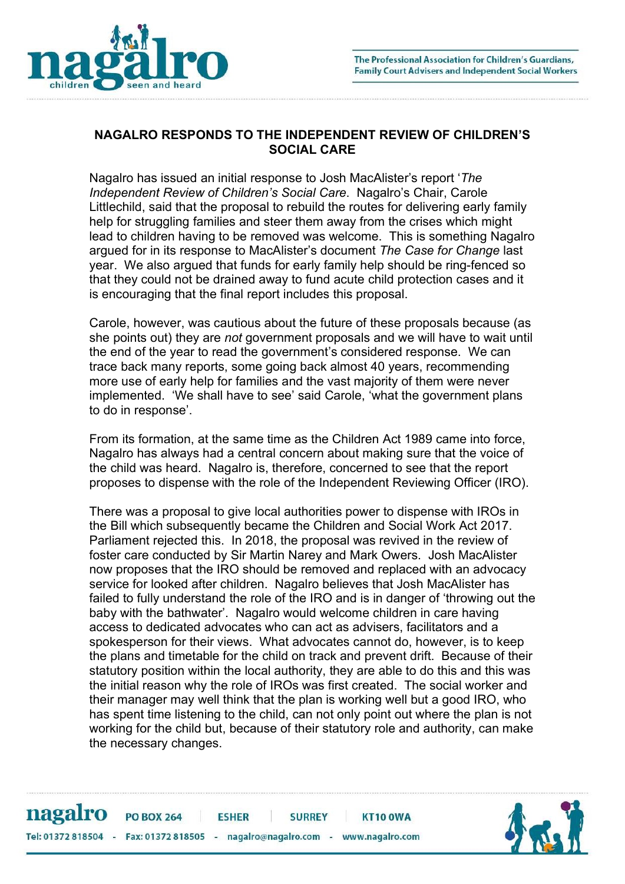

## NAGALRO RESPONDS TO THE INDEPENDENT REVIEW OF CHILDREN'S SOCIAL CARE

Nagalro has issued an initial response to Josh MacAlister's report 'The Independent Review of Children's Social Care. Nagalro's Chair, Carole Littlechild, said that the proposal to rebuild the routes for delivering early family help for struggling families and steer them away from the crises which might lead to children having to be removed was welcome. This is something Nagalro argued for in its response to MacAlister's document The Case for Change last year. We also argued that funds for early family help should be ring-fenced so that they could not be drained away to fund acute child protection cases and it is encouraging that the final report includes this proposal.

Carole, however, was cautious about the future of these proposals because (as she points out) they are not government proposals and we will have to wait until the end of the year to read the government's considered response. We can trace back many reports, some going back almost 40 years, recommending more use of early help for families and the vast majority of them were never implemented. 'We shall have to see' said Carole, 'what the government plans to do in response'.

From its formation, at the same time as the Children Act 1989 came into force, Nagalro has always had a central concern about making sure that the voice of the child was heard. Nagalro is, therefore, concerned to see that the report proposes to dispense with the role of the Independent Reviewing Officer (IRO).

There was a proposal to give local authorities power to dispense with IROs in the Bill which subsequently became the Children and Social Work Act 2017. Parliament rejected this. In 2018, the proposal was revived in the review of foster care conducted by Sir Martin Narey and Mark Owers. Josh MacAlister now proposes that the IRO should be removed and replaced with an advocacy service for looked after children. Nagalro believes that Josh MacAlister has failed to fully understand the role of the IRO and is in danger of 'throwing out the baby with the bathwater'. Nagalro would welcome children in care having access to dedicated advocates who can act as advisers, facilitators and a spokesperson for their views. What advocates cannot do, however, is to keep the plans and timetable for the child on track and prevent drift. Because of their statutory position within the local authority, they are able to do this and this was the initial reason why the role of IROs was first created. The social worker and their manager may well think that the plan is working well but a good IRO, who has spent time listening to the child, can not only point out where the plan is not working for the child but, because of their statutory role and authority, can make the necessary changes.